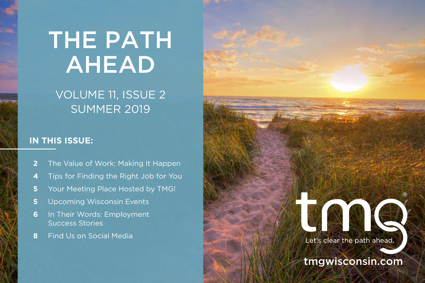# THE PATH AHEAD

### VOLUME 11, ISSUE 2 SUMMER 2019

### **IN THIS ISSUE:**

- **2** The Value of Work: Making It Happen
- **4** Tips for Finding the Right Job for You
- **5** Your Meeting Place Hosted by TMG!
- **5** Upcoming Wisconsin Events
- **6** In Their Words: Employment Success Stories
- **8** Find Us on Social Media

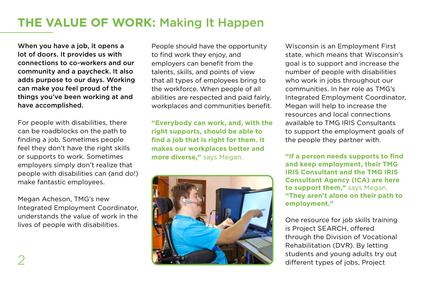### **THE VALUE OF WORK:** Making It Happen

When you have a job, it opens a lot of doors. It provides us with connections to co-workers and our community and a paycheck. It also adds purpose to our days. Working can make you feel proud of the things you've been working at and have accomplished.

For people with disabilities, there can be roadblocks on the path to finding a job. Sometimes people feel they don't have the right skills or supports to work. Sometimes employers simply don't realize that people with disabilities can (and do!) make fantastic employees.

Megan Acheson, TMG's new Integrated Employment Coordinator, understands the value of work in the lives of people with disabilities.

People should have the opportunity to find work they enjoy, and employers can benefit from the talents, skills, and points of view that all types of employees bring to the workforce. When people of all abilities are respected and paid fairly, workplaces and communities benefit.

**"Everybody can work, and, with the right supports, should be able to find a job that is right for them. It makes our workplaces better and more diverse,"** says Megan.



Wisconsin is an Employment First state, which means that Wisconsin's goal is to support and increase the number of people with disabilities who work in jobs throughout our communities. In her role as TMG's Integrated Employment Coordinator, Megan will help to increase the resources and local connections available to TMG IRIS Consultants to support the employment goals of the people they partner with.

**"If a person needs supports to find and keep employment, their TMG IRIS Consultant and the TMG IRIS Consultant Agency (ICA) are here to support them,"** says Megan. **"They aren't alone on their path to employment."**

One resource for job skills training is Project SEARCH, offered through the Division of Vocational Rehabilitation (DVR). By letting students and young adults try out different types of jobs, Project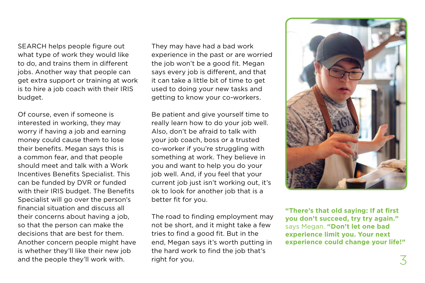SEARCH helps people figure out what type of work they would like to do, and trains them in different jobs. Another way that people can get extra support or training at work is to hire a job coach with their IRIS budget.

Of course, even if someone is interested in working, they may worry if having a job and earning money could cause them to lose their benefits. Megan says this is a common fear, and that people should meet and talk with a Work Incentives Benefits Specialist. This can be funded by DVR or funded with their IRIS budget. The Benefits Specialist will go over the person's financial situation and discuss all their concerns about having a job, so that the person can make the decisions that are best for them. Another concern people might have is whether they'll like their new job and the people they'll work with.

They may have had a bad work experience in the past or are worried the job won't be a good fit. Megan says every job is different, and that it can take a little bit of time to get used to doing your new tasks and getting to know your co-workers.

Be patient and give yourself time to really learn how to do your job well. Also, don't be afraid to talk with your job coach, boss or a trusted co-worker if you're struggling with something at work. They believe in you and want to help you do your job well. And, if you feel that your current job just isn't working out, it's ok to look for another job that is a better fit for you.

The road to finding employment may not be short, and it might take a few tries to find a good fit. But in the end, Megan says it's worth putting in the hard work to find the job that's right for you.  $\overline{3}$ 



**"There's that old saying: If at first you don't succeed, try try again."**  says Megan. **"Don't let one bad experience limit you. Your next experience could change your life!"**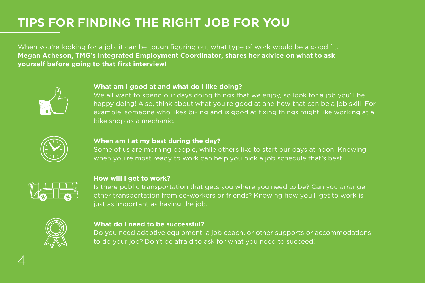### **TIPS FOR FINDING THE RIGHT JOB FOR YOU**

When you're looking for a job, it can be tough figuring out what type of work would be a good fit. **Megan Acheson, TMG's Integrated Employment Coordinator, shares her advice on what to ask yourself before going to that first interview!**



#### **What am I good at and what do I like doing?**

We all want to spend our days doing things that we enjoy, so look for a job you'll be happy doing! Also, think about what you're good at and how that can be a job skill. For example, someone who likes biking and is good at fixing things might like working at a bike shop as a mechanic.



#### **When am I at my best during the day?**

Some of us are morning people, while others like to start our days at noon. Knowing when you're most ready to work can help you pick a job schedule that's best.



#### **How will I get to work?**

Is there public transportation that gets you where you need to be? Can you arrange other transportation from co-workers or friends? Knowing how you'll get to work is just as important as having the job.



#### **What do I need to be successful?**

Do you need adaptive equipment, a job coach, or other supports or accommodations to do your job? Don't be afraid to ask for what you need to succeed!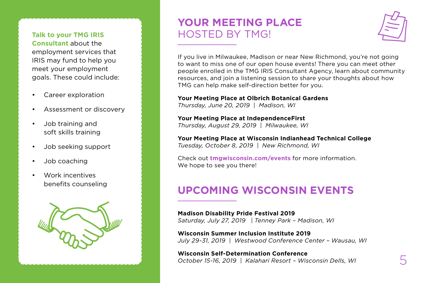**Talk to your TMG IRIS Consultant** about the employment services that IRIS may fund to help you meet your employment goals. These could include:

- Career exploration
- Assessment or discovery
- Job training and soft skills training
- Job seeking support
- Job coaching
- Work incentives benefits counseling



### **YOUR MEETING PLACE**  HOSTED BY TMG!



If you live in Milwaukee, Madison or near New Richmond, you're not going to want to miss one of our open house events! There you can meet other people enrolled in the TMG IRIS Consultant Agency, learn about community resources, and join a listening session to share your thoughts about how TMG can help make self-direction better for you.

#### **Your Meeting Place at Olbrich Botanical Gardens**

*Thursday, June 20, 2019 | Madison, WI* 

**Your Meeting Place at IndependenceFirst**  *Thursday, August 29, 2019 | Milwaukee, WI* 

**Your Meeting Place at Wisconsin Indianhead Technical College** *Tuesday, October 8, 2019 | New Richmond, WI*

Check out **[tmgwisconsin.com/events](http://tmgwisconsin.com/events)** for more information. We hope to see you there!

### **UPCOMING WISCONSIN EVENTS**

**Madison Disability Pride Festival 2019** *Saturday, July 27, 2019 | Tenney Park – Madison, WI* 

**Wisconsin Summer Inclusion Institute 2019** *July 29-31, 2019 | Westwood Conference Center – Wausau, WI* 

**Wisconsin Self-Determination Conference**  *October 15-16, 2019 | Kalahari Resort – Wisconsin Dells, WI* 5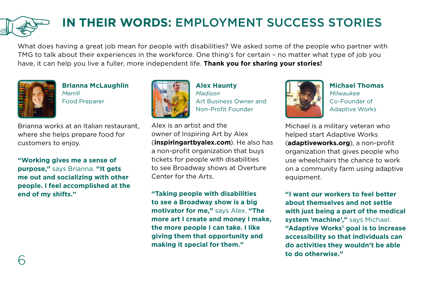## **IN THEIR WORDS:** EMPLOYMENT SUCCESS STORIES

What does having a great job mean for people with disabilities? We asked some of the people who partner with TMG to talk about their experiences in the workforce. One thing's for certain – no matter what type of job you have, it can help you live a fuller, more independent life. **Thank you for sharing your stories!**



**Brianna McLaughlin** *Merrill* Food Preparer

Brianna works at an Italian restaurant, where she helps prepare food for customers to enjoy.

**"Working gives me a sense of purpose,"** says Brianna. **"It gets me out and socializing with other people. I feel accomplished at the end of my shifts."**



**Alex Haunty** *Madison* Art Business Owner and Non-Profit Founder

Alex is an artist and the owner of Inspiring Art by Alex (**inspiringartbyalex.com**). He also has a non-profit organization that buys tickets for people with disabilities to see Broadway shows at Overture Center for the Arts.

**"Taking people with disabilities to see a Broadway show is a big motivator for me,"** says Alex. **"The more art I create and money I make, the more people I can take. I like giving them that opportunity and making it special for them."** 



**Michael Thomas** *Milwaukee* Co-Founder of Adaptive Works

Michael is a military veteran who helped start Adaptive Works (**adaptiveworks.org**), a non-profit organization that gives people who use wheelchairs the chance to work on a community farm using adaptive equipment.

**"I want our workers to feel better about themselves and not settle with just being a part of the medical system 'machine',"** says Michael. **"Adaptive Works' goal is to increase accessibility so that individuals can do activities they wouldn't be able to do otherwise."**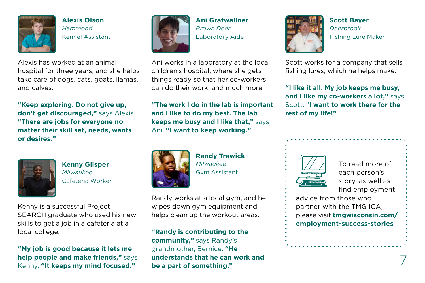

**Alexis Olson** *Hammond* Kennel Assistant

Alexis has worked at an animal hospital for three years, and she helps take care of dogs, cats, goats, llamas, and calves.

**"Keep exploring. Do not give up, don't get discouraged,"** says Alexis. **"There are jobs for everyone no matter their skill set, needs, wants or desires."** 



**Kenny Glisper**  *Milwaukee* Cafeteria Worker

Kenny is a successful Project SEARCH graduate who used his new skills to get a job in a cafeteria at a local college.

**"My job is good because it lets me help people and make friends,"** says Kenny. **"It keeps my mind focused."** 



**Ani Grafwallner** *Brown Deer* Laboratory Aide

Ani works in a laboratory at the local children's hospital, where she gets things ready so that her co-workers can do their work, and much more.

**"The work I do in the lab is important and I like to do my best. The lab keeps me busy and I like that,"** says Ani. **"I want to keep working."**



**Randy Trawick** *Milwaukee* Gym Assistant

Randy works at a local gym, and he wipes down gym equipment and helps clean up the workout areas.

**"Randy is contributing to the community,"** says Randy's grandmother, Bernice. **"He understands that he can work and be a part of something."**



**Scott Bayer** *Deerbrook* Fishing Lure Maker

Scott works for a company that sells fishing lures, which he helps make.

**"I like it all. My job keeps me busy, and I like my co-workers a lot,"** says Scott. "**I want to work there for the rest of my life!"**

| ,,,,,,,,,,,<br>$\overline{\phantom{a}}$ |
|-----------------------------------------|
|                                         |
| <br>2000C                               |
|                                         |
|                                         |

To read more of each person's story, as well as find employment

advice from those who partner with the TMG ICA, please visit **[tmgwisconsin.com/](http://tmgwisconsin.com/employment-success-stories)**

**[employment-success-stories](http://tmgwisconsin.com/employment-success-stories)**

7